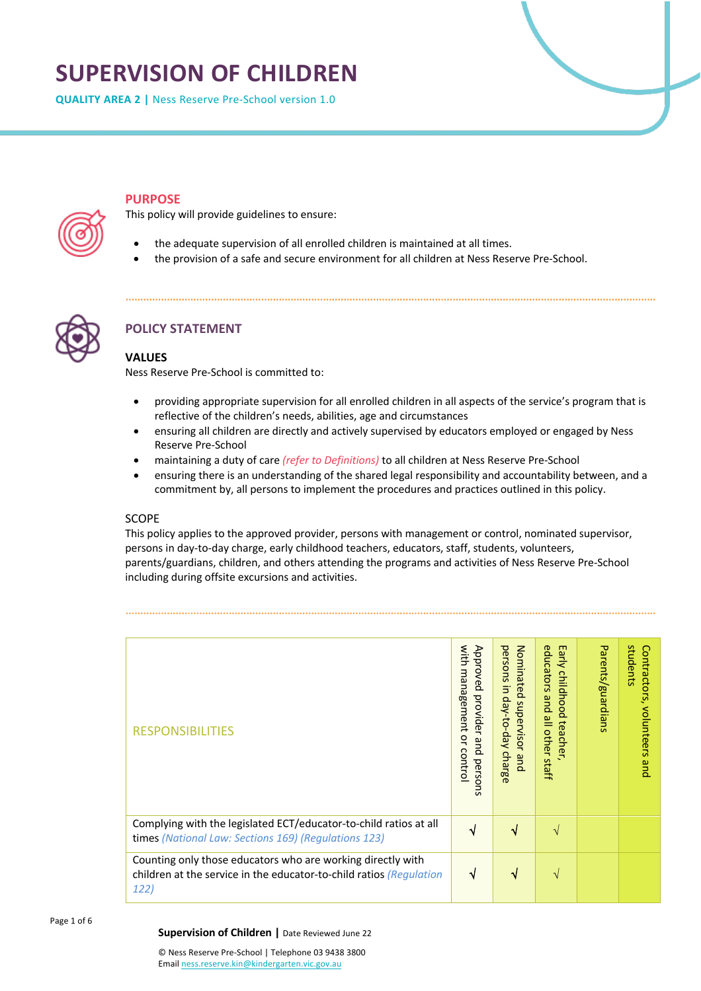# **SUPERVISION OF CHILDREN**

**QUALITY AREA 2 |** Ness Reserve Pre-School version 1.0

# **PURPOSE**

This policy will provide guidelines to ensure:

- the adequate supervision of all enrolled children is maintained at all times.
- the provision of a safe and secure environment for all children at Ness Reserve Pre-School.



# **POLICY STATEMENT**

# **VALUES**

Ness Reserve Pre-School is committed to:

- providing appropriate supervision for all enrolled children in all aspects of the service's program that is reflective of the children's needs, abilities, age and circumstances
- ensuring all children are directly and actively supervised by educators employed or engaged by Ness Reserve Pre-School
- maintaining a duty of care *(refer to Definitions)* to all children at Ness Reserve Pre-School
- ensuring there is an understanding of the shared legal responsibility and accountability between, and a commitment by, all persons to implement the procedures and practices outlined in this policy.

# SCOPE

This policy applies to the approved provider, persons with management or control, nominated supervisor, persons in day-to-day charge, early childhood teachers, educators, staff, students, volunteers, parents/guardians, children, and others attending the programs and activities of Ness Reserve Pre-School including during offsite excursions and activities.

| <b>RESPONSIBILITIES</b>                                                                                                                    | with<br>Approved<br>management<br>provider<br>ă<br>pue<br>control<br>persons | Nominated<br>persons<br>$\overline{5}$<br>day-to-day<br>supervisor<br>charge<br>and | educators<br>Early<br>childhood<br>pue<br>all other<br>teache<br>⊸<br>staff | Parents/guardians | students<br>Contractors,<br>volunteers<br>pue |
|--------------------------------------------------------------------------------------------------------------------------------------------|------------------------------------------------------------------------------|-------------------------------------------------------------------------------------|-----------------------------------------------------------------------------|-------------------|-----------------------------------------------|
| Complying with the legislated ECT/educator-to-child ratios at all<br>times (National Law: Sections 169) (Regulations 123)                  | V                                                                            | √                                                                                   | V                                                                           |                   |                                               |
| Counting only those educators who are working directly with<br>children at the service in the educator-to-child ratios (Regulation<br>122) |                                                                              | √                                                                                   | V                                                                           |                   |                                               |

Page 1 of 6

#### **Supervision of Children |** Date Reviewed June 22

© Ness Reserve Pre-School | Telephone 03 9438 3800 Email ness.reserve.kin@kindergarten.vic.gov.au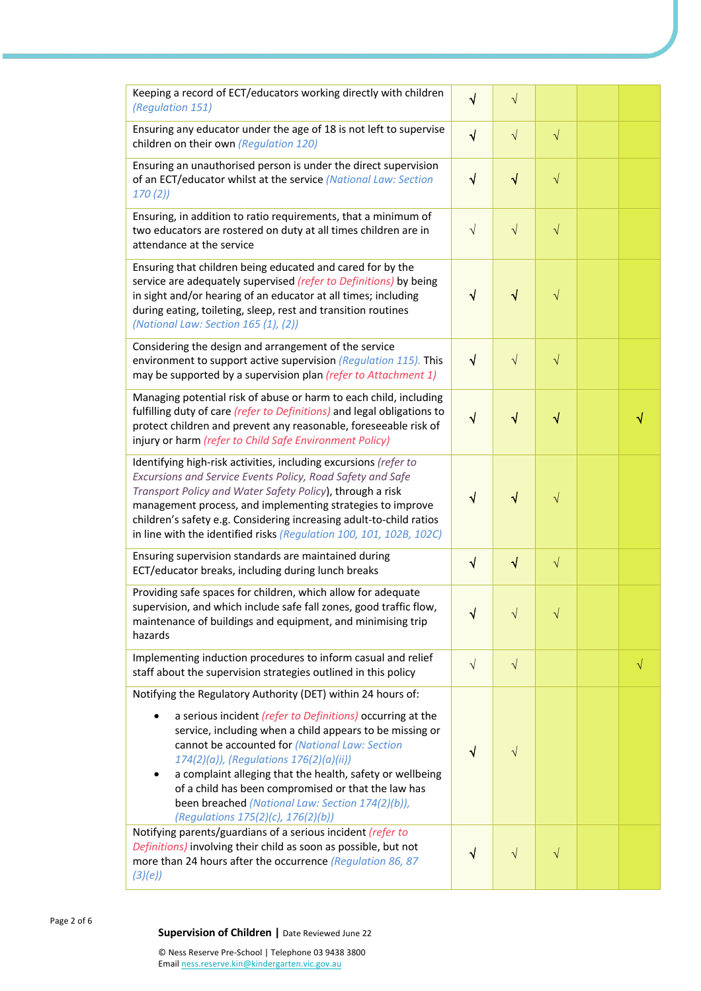| Keeping a record of ECT/educators working directly with children<br>(Regulation 151)                                                                                                                                                                                                                                                                                                                                                                                                                   | $\sqrt{ }$ | $\sqrt{}$  |           |   |
|--------------------------------------------------------------------------------------------------------------------------------------------------------------------------------------------------------------------------------------------------------------------------------------------------------------------------------------------------------------------------------------------------------------------------------------------------------------------------------------------------------|------------|------------|-----------|---|
| Ensuring any educator under the age of 18 is not left to supervise<br>children on their own (Regulation 120)                                                                                                                                                                                                                                                                                                                                                                                           | $\sqrt{ }$ | $\sqrt{ }$ | $\sqrt{}$ |   |
| Ensuring an unauthorised person is under the direct supervision<br>of an ECT/educator whilst at the service (National Law: Section<br>170(2)                                                                                                                                                                                                                                                                                                                                                           | $\sqrt{ }$ | $\sqrt{}$  | $\sqrt{}$ |   |
| Ensuring, in addition to ratio requirements, that a minimum of<br>two educators are rostered on duty at all times children are in<br>attendance at the service                                                                                                                                                                                                                                                                                                                                         | $\sqrt{ }$ | $\sqrt{ }$ | $\sqrt{}$ |   |
| Ensuring that children being educated and cared for by the<br>service are adequately supervised (refer to Definitions) by being<br>in sight and/or hearing of an educator at all times; including<br>during eating, toileting, sleep, rest and transition routines<br>(National Law: Section 165 (1), (2))                                                                                                                                                                                             | $\sqrt{ }$ | $\sqrt{ }$ | $\sqrt{}$ |   |
| Considering the design and arrangement of the service<br>environment to support active supervision (Regulation 115). This<br>may be supported by a supervision plan (refer to Attachment 1)                                                                                                                                                                                                                                                                                                            | $\sqrt{ }$ | $\sqrt{}$  | $\sqrt{}$ |   |
| Managing potential risk of abuse or harm to each child, including<br>fulfilling duty of care (refer to Definitions) and legal obligations to<br>protect children and prevent any reasonable, foreseeable risk of<br>injury or harm (refer to Child Safe Environment Policy)                                                                                                                                                                                                                            | $\sqrt{ }$ | $\sqrt{}$  | $\sqrt{}$ |   |
| Identifying high-risk activities, including excursions (refer to<br>Excursions and Service Events Policy, Road Safety and Safe<br>Transport Policy and Water Safety Policy), through a risk<br>management process, and implementing strategies to improve<br>children's safety e.g. Considering increasing adult-to-child ratios<br>in line with the identified risks (Regulation 100, 101, 102B, 102C)                                                                                                | $\sqrt{}$  | √          | $\sqrt{}$ |   |
| Ensuring supervision standards are maintained during<br>ECT/educator breaks, including during lunch breaks                                                                                                                                                                                                                                                                                                                                                                                             | $\sqrt{ }$ | $\sqrt{ }$ | $\sqrt{}$ |   |
| Providing safe spaces for children, which allow for adequate<br>supervision, and which include safe fall zones, good traffic flow,<br>maintenance of buildings and equipment, and minimising trip<br>hazards                                                                                                                                                                                                                                                                                           | N          |            |           |   |
| Implementing induction procedures to inform casual and relief<br>staff about the supervision strategies outlined in this policy                                                                                                                                                                                                                                                                                                                                                                        | $\sqrt{ }$ | $\sqrt{ }$ |           | √ |
| Notifying the Regulatory Authority (DET) within 24 hours of:<br>a serious incident (refer to Definitions) occurring at the<br>service, including when a child appears to be missing or<br>cannot be accounted for (National Law: Section<br>174(2)(a)), (Regulations 176(2)(a)(ii))<br>a complaint alleging that the health, safety or wellbeing<br>٠<br>of a child has been compromised or that the law has<br>been breached (National Law: Section 174(2)(b)),<br>(Regulations 175(2)(c), 176(2)(b)) | $\sqrt{ }$ |            |           |   |
| Notifying parents/guardians of a serious incident (refer to<br>Definitions) involving their child as soon as possible, but not<br>more than 24 hours after the occurrence (Regulation 86, 87<br>(3)(e)                                                                                                                                                                                                                                                                                                 | $\sqrt{ }$ | $\sqrt{ }$ | $\sqrt{}$ |   |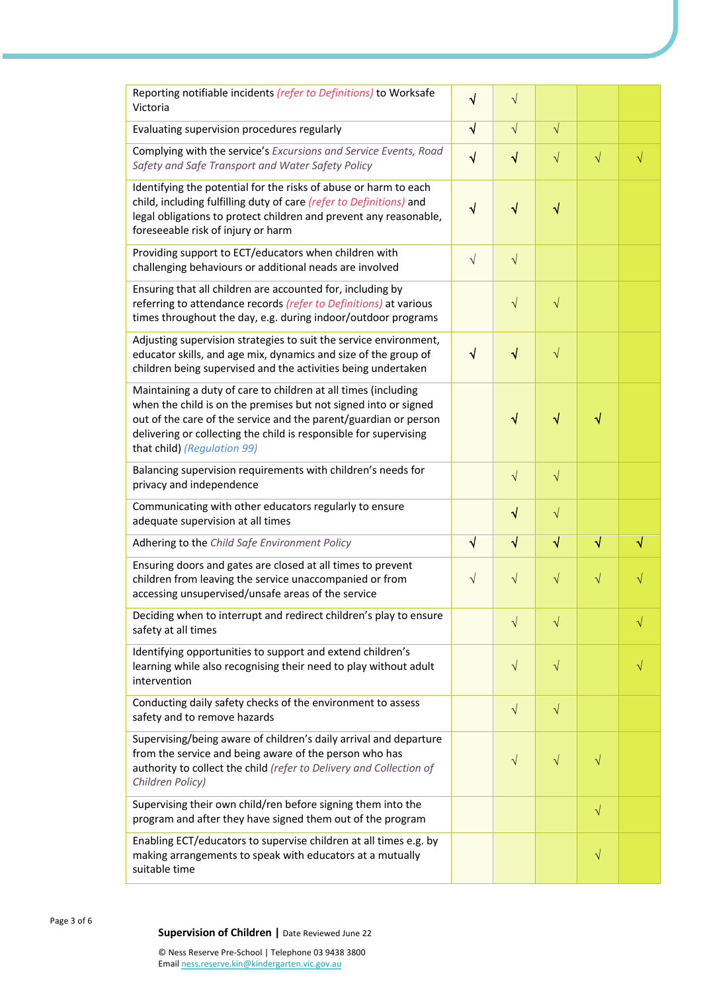| Reporting notifiable incidents (refer to Definitions) to Worksafe<br>Victoria                                                                                                                                                                                                                             | √          | $\sqrt{}$  |           |           |   |
|-----------------------------------------------------------------------------------------------------------------------------------------------------------------------------------------------------------------------------------------------------------------------------------------------------------|------------|------------|-----------|-----------|---|
| Evaluating supervision procedures regularly                                                                                                                                                                                                                                                               | $\sqrt{ }$ | $\sqrt{}$  | $\sqrt{}$ |           |   |
| Complying with the service's Excursions and Service Events, Road<br>Safety and Safe Transport and Water Safety Policy                                                                                                                                                                                     | $\sqrt{ }$ | $\sqrt{}$  | $\sqrt{}$ | $\sqrt{}$ | √ |
| Identifying the potential for the risks of abuse or harm to each<br>child, including fulfilling duty of care (refer to Definitions) and<br>legal obligations to protect children and prevent any reasonable,<br>foreseeable risk of injury or harm                                                        | $\sqrt{ }$ | $\sqrt{}$  | $\sqrt{}$ |           |   |
| Providing support to ECT/educators when children with<br>challenging behaviours or additional neads are involved                                                                                                                                                                                          | $\sqrt{ }$ | $\sqrt{}$  |           |           |   |
| Ensuring that all children are accounted for, including by<br>referring to attendance records (refer to Definitions) at various<br>times throughout the day, e.g. during indoor/outdoor programs                                                                                                          |            | $\sqrt{}$  | $\sqrt{}$ |           |   |
| Adjusting supervision strategies to suit the service environment,<br>educator skills, and age mix, dynamics and size of the group of<br>children being supervised and the activities being undertaken                                                                                                     | $\sqrt{ }$ | $\sqrt{}$  | $\sqrt{}$ |           |   |
| Maintaining a duty of care to children at all times (including<br>when the child is on the premises but not signed into or signed<br>out of the care of the service and the parent/guardian or person<br>delivering or collecting the child is responsible for supervising<br>that child) (Regulation 99) |            | $\sqrt{}$  | $\sqrt{}$ | √         |   |
| Balancing supervision requirements with children's needs for<br>privacy and independence                                                                                                                                                                                                                  |            | $\sqrt{ }$ | $\sqrt{}$ |           |   |
| Communicating with other educators regularly to ensure<br>adequate supervision at all times                                                                                                                                                                                                               |            | $\sqrt{}$  | $\sqrt{}$ |           |   |
| Adhering to the Child Safe Environment Policy                                                                                                                                                                                                                                                             |            | $\sqrt{}$  | $\sqrt{}$ | $\sqrt{}$ |   |
| Ensuring doors and gates are closed at all times to prevent<br>children from leaving the service unaccompanied or from<br>accessing unsupervised/unsafe areas of the service                                                                                                                              | $\sqrt{ }$ | $\sqrt{}$  | $\sqrt{}$ | $\sqrt{}$ |   |
| Deciding when to interrupt and redirect children's play to ensure<br>safety at all times                                                                                                                                                                                                                  |            | $\sqrt{}$  | $\sqrt{}$ |           | V |
| Identifying opportunities to support and extend children's<br>learning while also recognising their need to play without adult<br>intervention                                                                                                                                                            |            | $\sqrt{}$  | $\sqrt{}$ |           |   |
| Conducting daily safety checks of the environment to assess<br>safety and to remove hazards                                                                                                                                                                                                               |            | $\sqrt{}$  | $\sqrt{}$ |           |   |
| Supervising/being aware of children's daily arrival and departure<br>from the service and being aware of the person who has<br>authority to collect the child (refer to Delivery and Collection of<br>Children Policy)                                                                                    |            | $\sqrt{}$  | $\sqrt{}$ | $\sqrt{}$ |   |
| Supervising their own child/ren before signing them into the<br>program and after they have signed them out of the program                                                                                                                                                                                |            |            |           | $\sqrt{}$ |   |
| Enabling ECT/educators to supervise children at all times e.g. by<br>making arrangements to speak with educators at a mutually<br>suitable time                                                                                                                                                           |            |            |           | $\sqrt{}$ |   |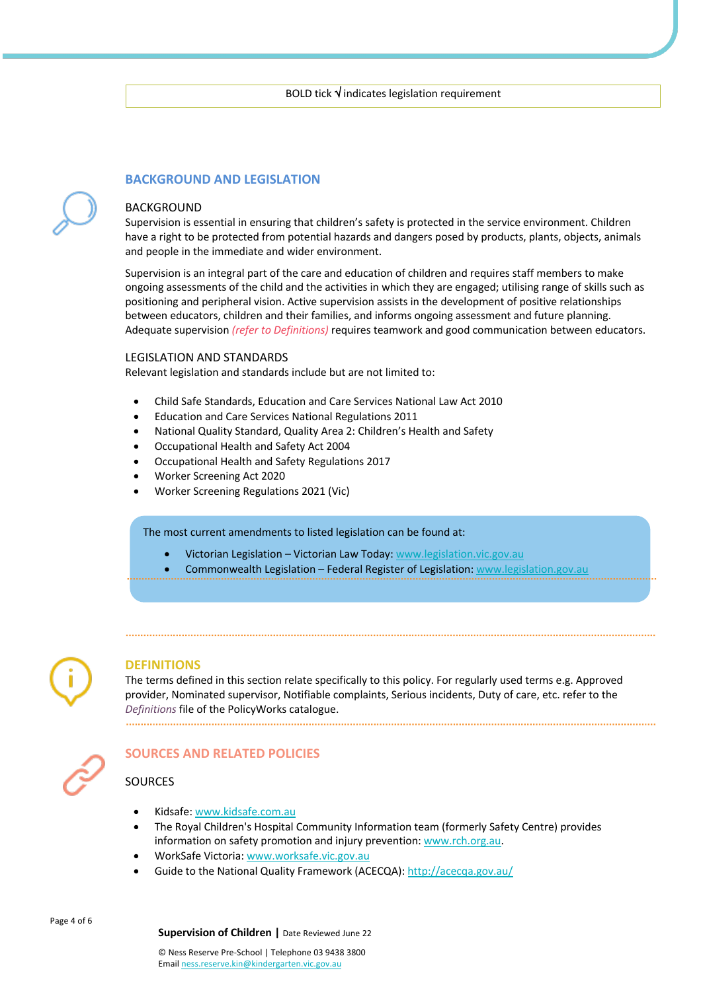# **BACKGROUND AND LEGISLATION**

#### BACKGROUND

Supervision is essential in ensuring that children's safety is protected in the service environment. Children have a right to be protected from potential hazards and dangers posed by products, plants, objects, animals and people in the immediate and wider environment.

Supervision is an integral part of the care and education of children and requires staff members to make ongoing assessments of the child and the activities in which they are engaged; utilising range of skills such as positioning and peripheral vision. Active supervision assists in the development of positive relationships between educators, children and their families, and informs ongoing assessment and future planning. Adequate supervision *(refer to Definitions)* requires teamwork and good communication between educators.

#### LEGISLATION AND STANDARDS

Relevant legislation and standards include but are not limited to:

- Child Safe Standards, Education and Care Services National Law Act 2010
- Education and Care Services National Regulations 2011
- National Quality Standard, Quality Area 2: Children's Health and Safety
- Occupational Health and Safety Act 2004
- Occupational Health and Safety Regulations 2017
- Worker Screening Act 2020
- Worker Screening Regulations 2021 (Vic)

#### The most current amendments to listed legislation can be found at:

- Victorian Legislation Victorian Law Today: www.legislation.vic.gov.au
- Commonwealth Legislation Federal Register of Legislation: www.legislation.gov.au



#### **DEFINITIONS**

The terms defined in this section relate specifically to this policy. For regularly used terms e.g. Approved provider, Nominated supervisor, Notifiable complaints, Serious incidents, Duty of care, etc. refer to the *Definitions* file of the PolicyWorks catalogue.



# **SOURCES AND RELATED POLICIES**

#### **SOURCES**

- Kidsafe: www.kidsafe.com.au
- The Royal Children's Hospital Community Information team (formerly Safety Centre) provides information on safety promotion and injury prevention: www.rch.org.au.
- WorkSafe Victoria: www.worksafe.vic.gov.au
- Guide to the National Quality Framework (ACECQA): http://acecqa.gov.au/

Page 4 of 6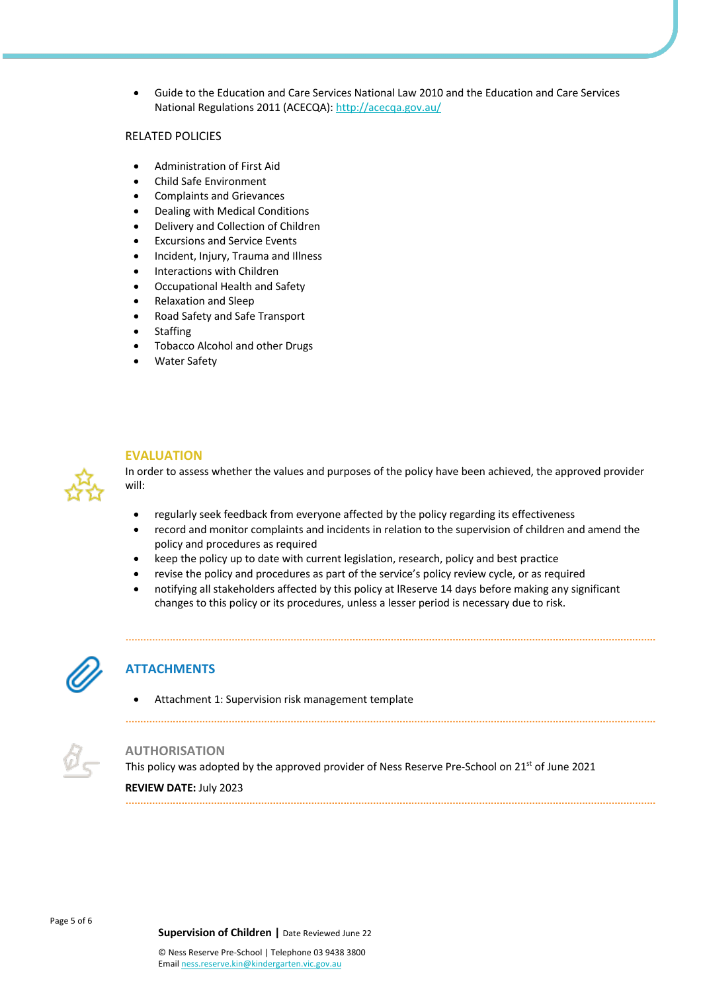• Guide to the Education and Care Services National Law 2010 and the Education and Care Services National Regulations 2011 (ACECQA): http://acecqa.gov.au/

# RELATED POLICIES

- Administration of First Aid
- Child Safe Environment
- Complaints and Grievances
- Dealing with Medical Conditions
- Delivery and Collection of Children
- Excursions and Service Events
- Incident, Injury, Trauma and Illness
- Interactions with Children
- Occupational Health and Safety
- Relaxation and Sleep
- Road Safety and Safe Transport
- **Staffing**
- Tobacco Alcohol and other Drugs
- **Water Safety**



# **EVALUATION**

In order to assess whether the values and purposes of the policy have been achieved, the approved provider will:

- regularly seek feedback from everyone affected by the policy regarding its effectiveness
- record and monitor complaints and incidents in relation to the supervision of children and amend the policy and procedures as required
- keep the policy up to date with current legislation, research, policy and best practice
- revise the policy and procedures as part of the service's policy review cycle, or as required
- notifying all stakeholders affected by this policy at lReserve 14 days before making any significant changes to this policy or its procedures, unless a lesser period is necessary due to risk.



# **ATTACHMENTS**

• Attachment 1: Supervision risk management template



#### **AUTHORISATION**

This policy was adopted by the approved provider of Ness Reserve Pre-School on 21<sup>st</sup> of June 2021

**REVIEW DATE:** July 2023